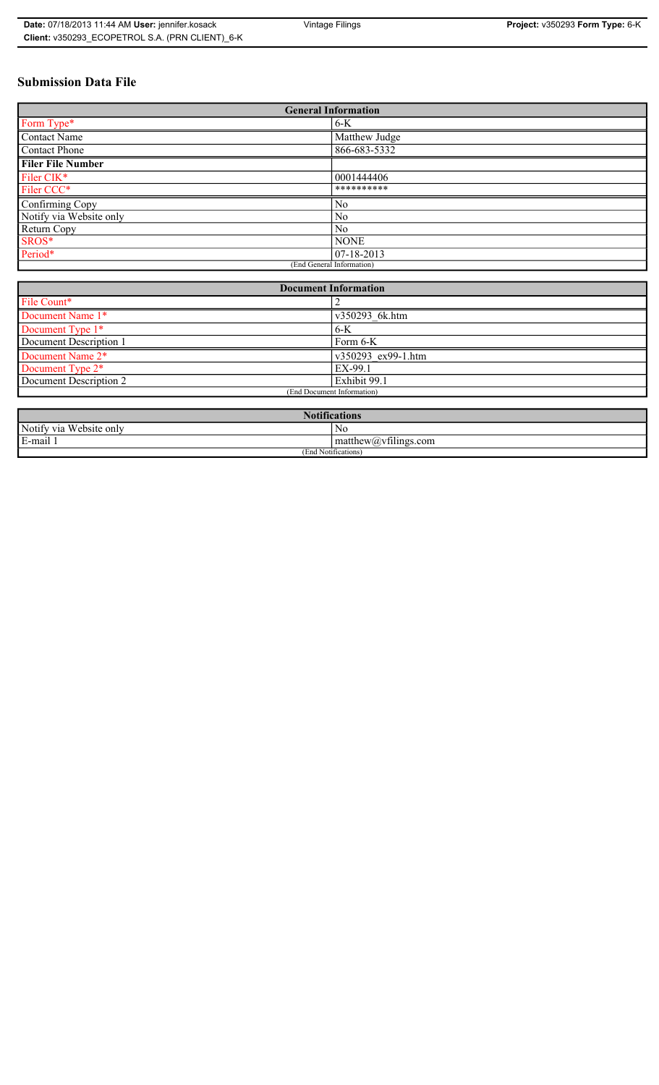# **Submission Data File**

| <b>General Information</b> |               |  |
|----------------------------|---------------|--|
| Form Type*                 | 6-K           |  |
| <b>Contact Name</b>        | Matthew Judge |  |
| Contact Phone              | 866-683-5332  |  |
| <b>Filer File Number</b>   |               |  |
| Filer CIK*                 | 0001444406    |  |
| Filer CCC*                 | **********    |  |
| Confirming Copy            | No            |  |
| Notify via Website only    | No            |  |
| Return Copy                | No            |  |
| SROS*                      | <b>NONE</b>   |  |
| Period*                    | 07-18-2013    |  |
| (End General Information)  |               |  |

| <b>Document Information</b>  |                    |  |
|------------------------------|--------------------|--|
| File Count*                  |                    |  |
| Document Name 1*             | v350293 6k.htm     |  |
| Document Type 1*             | $6-K$              |  |
| Document Description 1       | Form 6-K           |  |
| Document Name 2*             | v350293 ex99-1.htm |  |
| Document Type 2 <sup>*</sup> | EX-99.1            |  |
| Document Description 2       | Exhibit 99.1       |  |
| (End Document Information)   |                    |  |
|                              |                    |  |

| <b>Notifications</b>    |                                             |  |
|-------------------------|---------------------------------------------|--|
| Notify via Website only | No                                          |  |
| E-mail                  | $-$<br>$ $ matthew( <i>a</i> ) vtilings.com |  |
| (End Notifications)     |                                             |  |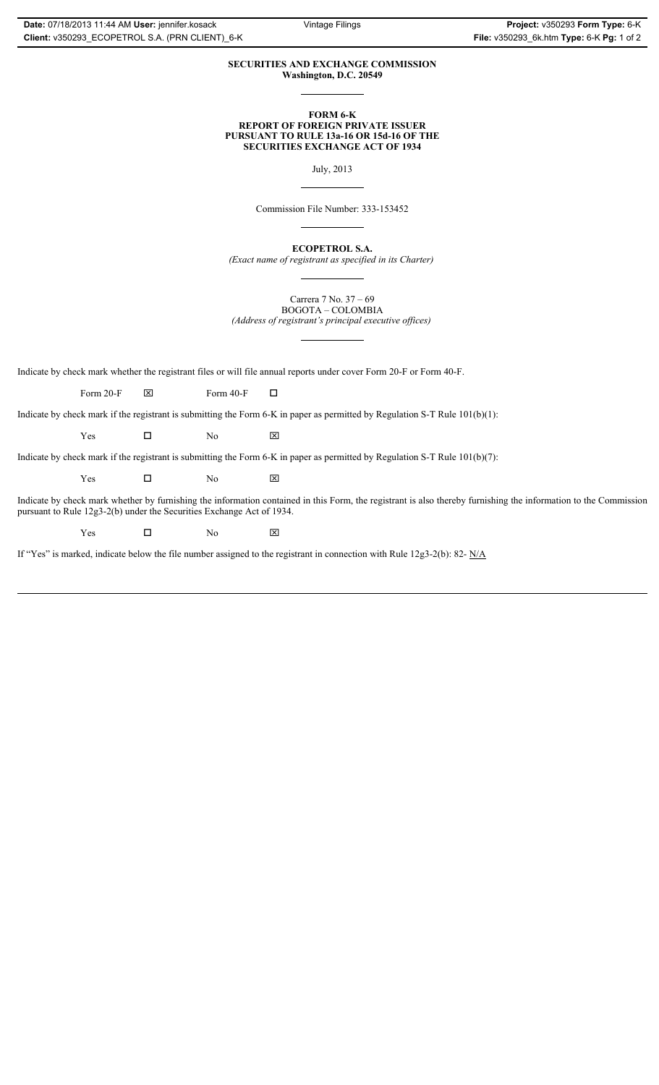### **SECURITIES AND EXCHANGE COMMISSION Washington, D.C. 20549**

#### **FORM 6-K REPORT OF FOREIGN PRIVATE ISSUER PURSUANT TO RULE 13a-16 OR 15d-16 OF THE SECURITIES EXCHANGE ACT OF 1934**

July, 2013

Commission File Number: 333-153452

**ECOPETROL S.A.** *(Exact name of registrant as specified in its Charter)*

Carrera 7 No. 37 – 69 BOGOTA – COLOMBIA *(Address of registrant's principal executive offices)*

Indicate by check mark whether the registrant files or will file annual reports under cover Form 20-F or Form 40-F.

Form 20-F  $\boxtimes$  Form 40-F  $\Box$ 

Indicate by check mark if the registrant is submitting the Form 6-K in paper as permitted by Regulation S-T Rule 101(b)(1):

 $Yes$   $\Box$  No  $X$ 

Indicate by check mark if the registrant is submitting the Form 6-K in paper as permitted by Regulation S-T Rule 101(b)(7):

 $Yes$   $\Box$  No  $X$ 

Indicate by check mark whether by furnishing the information contained in this Form, the registrant is also thereby furnishing the information to the Commission pursuant to Rule 12g3-2(b) under the Securities Exchange Act of 1934.

 $Yes$   $\Box$  No  $X$ 

If "Yes" is marked, indicate below the file number assigned to the registrant in connection with Rule 12g3-2(b): 82- N/A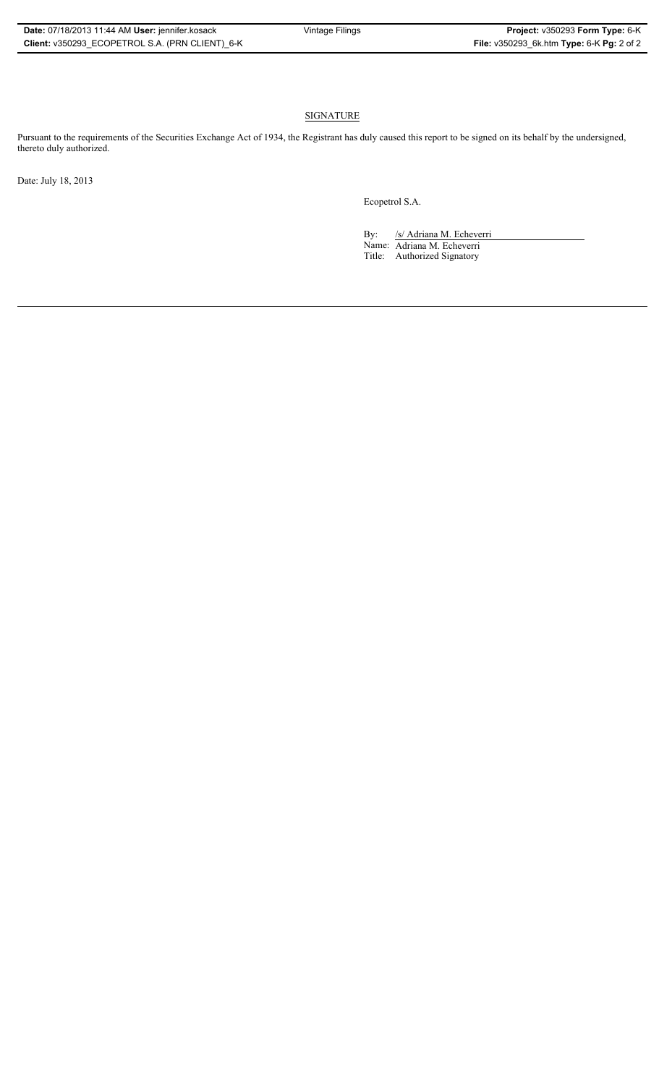## **SIGNATURE**

Pursuant to the requirements of the Securities Exchange Act of 1934, the Registrant has duly caused this report to be signed on its behalf by the undersigned, thereto duly authorized.

Date: July 18, 2013

Ecopetrol S.A.

By: /s/ Adriana M. Echeverri Name: Adriana M. Echeverri Title: Authorized Signatory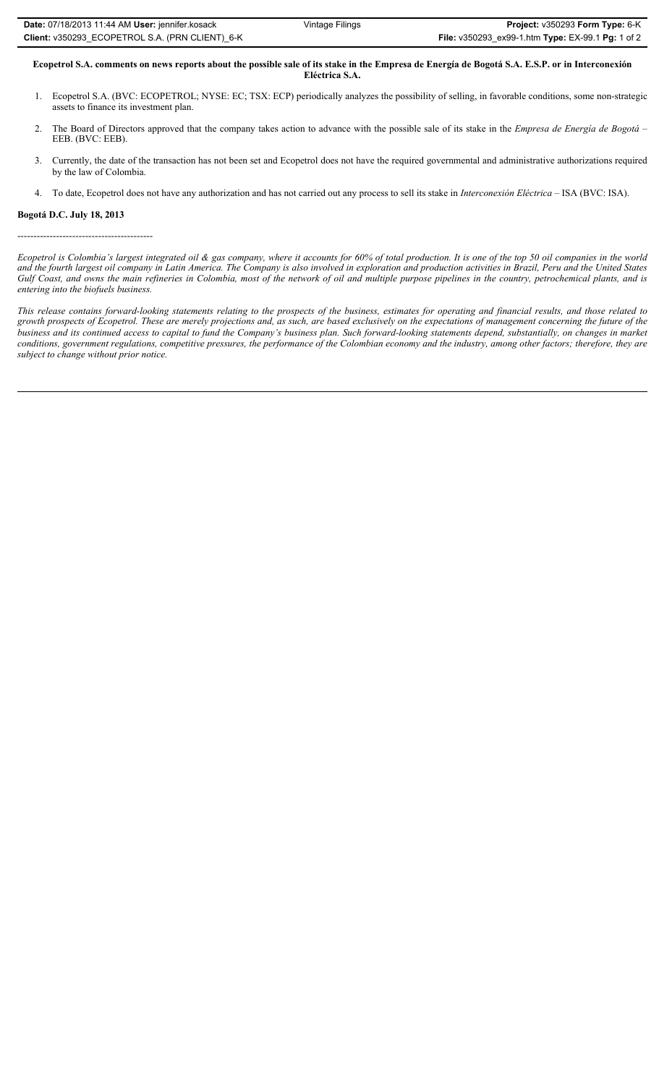| Date: 07/18/2013 11:44 AM User: jennifer.kosack | Vintage Filings | Project: v350293 Form Type: 6-K                   |
|-------------------------------------------------|-----------------|---------------------------------------------------|
| Client: v350293 ECOPETROL S.A. (PRN CLIENT) 6-K |                 | File: v350293_ex99-1.htm Type: EX-99.1 Pg: 1 of 2 |

**Ecopetrol S.A. comments on news reports about the possible sale of its stake in the Empresa de Energía de Bogotá S.A. E.S.P. or in Interconexión Eléctrica S.A.**

- 
- 1. Ecopetrol S.A. (BVC: ECOPETROL; NYSE: EC; TSX: ECP) periodically analyzes the possibility of selling, in favorable conditions, some non-strategic assets to finance its investment plan.
- 2. The Board of Directors approved that the company takes action to advance with the possible sale of its stake in the *Empresa de Energía de Bogotá* EEB. (BVC: EEB).
- 3. Currently, the date of the transaction has not been set and Ecopetrol does not have the required governmental and administrative authorizations required by the law of Colombia.
- 4. To date, Ecopetrol does not have any authorization and has not carried out any process to sell its stake in *Interconexión Eléctrica* ISA (BVC: ISA).

### **Bogotá D.C. July 18, 2013**

------------------------------------------

*Ecopetrol is Colombia's largest integrated oil & gas company, where it accounts for 60% of total production. It is one of the top 50 oil companies in the world and the fourth largest oil company in Latin America. The Company is also involved in exploration and production activities in Brazil, Peru and the United States Gulf Coast, and owns the main refineries in Colombia, most of the network of oil and multiple purpose pipelines in the country, petrochemical plants, and is entering into the biofuels business.* 

*This release contains forward-looking statements relating to the prospects of the business, estimates for operating and financial results, and those related to growth prospects of Ecopetrol. These are merely projections and, as such, are based exclusively on the expectations of management concerning the future of the business and its continued access to capital to fund the Company's business plan. Such forward-looking statements depend, substantially, on changes in market conditions, government regulations, competitive pressures, the performance of the Colombian economy and the industry, among other factors; therefore, they are subject to change without prior notice.*